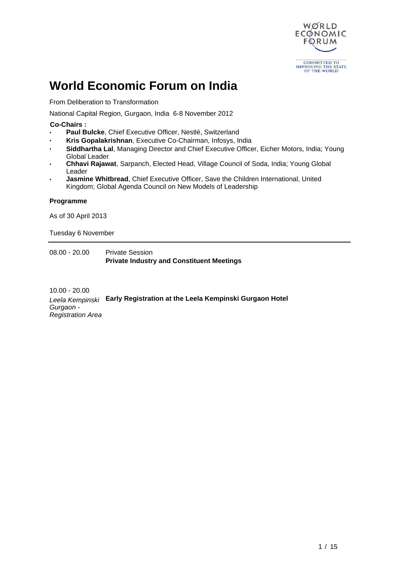

# **World Economic Forum on India**

From Deliberation to Transformation

National Capital Region, Gurgaon, India 6-8 November 2012

 **Co-Chairs :**

- **· Paul Bulcke**, Chief Executive Officer, Nestlé, Switzerland
- **· Kris Gopalakrishnan**, Executive Co-Chairman, Infosys, India
- **· Siddhartha Lal**, Managing Director and Chief Executive Officer, Eicher Motors, India; Young Global Leader
- **· Chhavi Rajawat**, Sarpanch, Elected Head, Village Council of Soda, India; Young Global Leader
- **· Jasmine Whitbread**, Chief Executive Officer, Save the Children International, United Kingdom; Global Agenda Council on New Models of Leadership

## **Programme**

As of 30 April 2013

Tuesday 6 November

08.00 - 20.00 Private Session **Private Industry and Constituent Meetings**

10.00 - 20.00 Leela Kempinski **Early Registration at the Leela Kempinski Gurgaon Hotel** Gurgaon - Registration Area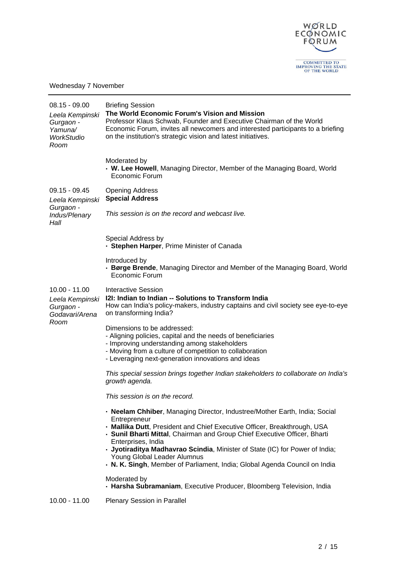

Wednesday 7 November

| $08.15 - 09.00$<br>Leela Kempinski<br>Gurgaon -<br>Yamuna/<br>WorkStudio<br>Room | <b>Briefing Session</b><br>The World Economic Forum's Vision and Mission<br>Professor Klaus Schwab, Founder and Executive Chairman of the World<br>Economic Forum, invites all newcomers and interested participants to a briefing<br>on the institution's strategic vision and latest initiatives.                                                                                                                                                                    |
|----------------------------------------------------------------------------------|------------------------------------------------------------------------------------------------------------------------------------------------------------------------------------------------------------------------------------------------------------------------------------------------------------------------------------------------------------------------------------------------------------------------------------------------------------------------|
|                                                                                  | Moderated by<br>• W. Lee Howell, Managing Director, Member of the Managing Board, World<br>Economic Forum                                                                                                                                                                                                                                                                                                                                                              |
| $09.15 - 09.45$<br>Leela Kempinski                                               | <b>Opening Address</b><br><b>Special Address</b>                                                                                                                                                                                                                                                                                                                                                                                                                       |
| Gurgaon -<br>Indus/Plenary<br>Hall                                               | This session is on the record and webcast live.                                                                                                                                                                                                                                                                                                                                                                                                                        |
|                                                                                  | Special Address by<br>- Stephen Harper, Prime Minister of Canada                                                                                                                                                                                                                                                                                                                                                                                                       |
|                                                                                  | Introduced by<br>- Børge Brende, Managing Director and Member of the Managing Board, World<br>Economic Forum                                                                                                                                                                                                                                                                                                                                                           |
| $10.00 - 11.00$<br>Leela Kempinski<br>Gurgaon -<br>Godavari/Arena                | <b>Interactive Session</b><br>I2I: Indian to Indian -- Solutions to Transform India<br>How can India's policy-makers, industry captains and civil society see eye-to-eye<br>on transforming India?                                                                                                                                                                                                                                                                     |
| Room                                                                             | Dimensions to be addressed:<br>- Aligning policies, capital and the needs of beneficiaries<br>- Improving understanding among stakeholders<br>- Moving from a culture of competition to collaboration<br>- Leveraging next-generation innovations and ideas                                                                                                                                                                                                            |
|                                                                                  | This special session brings together Indian stakeholders to collaborate on India's<br>growth agenda.                                                                                                                                                                                                                                                                                                                                                                   |
|                                                                                  | This session is on the record.                                                                                                                                                                                                                                                                                                                                                                                                                                         |
|                                                                                  | - Neelam Chhiber, Managing Director, Industree/Mother Earth, India; Social<br>Entrepreneur<br>- Mallika Dutt, President and Chief Executive Officer, Breakthrough, USA<br>- Sunil Bharti Mittal, Chairman and Group Chief Executive Officer, Bharti<br>Enterprises, India<br>- Jyotiraditya Madhavrao Scindia, Minister of State (IC) for Power of India;<br>Young Global Leader Alumnus<br>. N. K. Singh, Member of Parliament, India; Global Agenda Council on India |
|                                                                                  | Moderated by<br>- Harsha Subramaniam, Executive Producer, Bloomberg Television, India                                                                                                                                                                                                                                                                                                                                                                                  |
| $10.00 - 11.00$                                                                  | Plenary Session in Parallel                                                                                                                                                                                                                                                                                                                                                                                                                                            |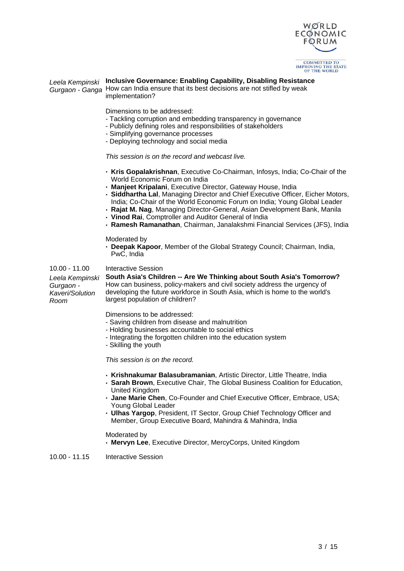

## Leela Kempinski **Inclusive Governance: Enabling Capability, Disabling Resistance**

Gurgaon - Ganga How can India ensure that its best decisions are not stifled by weak implementation?

Dimensions to be addressed:

- Tackling corruption and embedding transparency in governance
- Publicly defining roles and responsibilities of stakeholders
- Simplifying governance processes
- Deploying technology and social media

This session is on the record and webcast live.

- **· Kris Gopalakrishnan**, Executive Co-Chairman, Infosys, India; Co-Chair of the World Economic Forum on India
- **· Manjeet Kripalani**, Executive Director, Gateway House, India
- **· Siddhartha Lal**, Managing Director and Chief Executive Officer, Eicher Motors, India; Co-Chair of the World Economic Forum on India; Young Global Leader
- **· Rajat M. Nag**, Managing Director-General, Asian Development Bank, Manila
- **· Vinod Rai**, Comptroller and Auditor General of India
- **· Ramesh Ramanathan**, Chairman, Janalakshmi Financial Services (JFS), India

Moderated by

**· Deepak Kapoor**, Member of the Global Strategy Council; Chairman, India, PwC, India

#### 10.00 - 11.00 Interactive Session

Leela Kempinski Gurgaon - Kaveri/Solution Room

#### **South Asia's Children -- Are We Thinking about South Asia's Tomorrow?** How can business, policy-makers and civil society address the urgency of developing the future workforce in South Asia, which is home to the world's largest population of children?

Dimensions to be addressed:

- Saving children from disease and malnutrition
- Holding businesses accountable to social ethics
- Integrating the forgotten children into the education system
- Skilling the youth

This session is on the record.

- **· Krishnakumar Balasubramanian**, Artistic Director, Little Theatre, India
- **· Sarah Brown**, Executive Chair, The Global Business Coalition for Education, United Kingdom
- **· Jane Marie Chen**, Co-Founder and Chief Executive Officer, Embrace, USA; Young Global Leader
- **· Ulhas Yargop**, President, IT Sector, Group Chief Technology Officer and Member, Group Executive Board, Mahindra & Mahindra, India

#### Moderated by

**· Mervyn Lee**, Executive Director, MercyCorps, United Kingdom

10.00 - 11.15 Interactive Session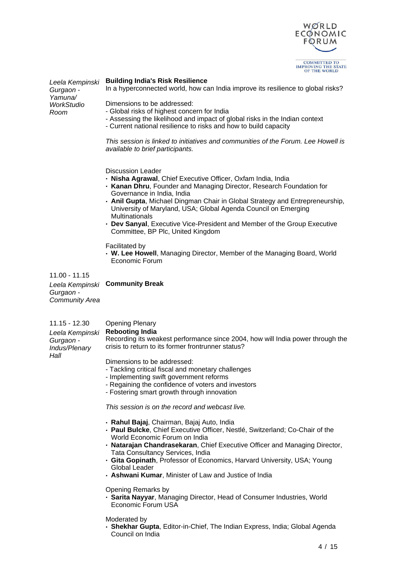

| Leela Kempinski<br>Gurgaon -<br>Yamuna/<br>WorkStudio | <b>Building India's Risk Resilience</b><br>In a hyperconnected world, how can India improve its resilience to global risks?                     |
|-------------------------------------------------------|-------------------------------------------------------------------------------------------------------------------------------------------------|
|                                                       | Dimensions to be addressed:<br>- Global risks of highest concern for India                                                                      |
| Room                                                  | - Assessing the likelihood and impact of global risks in the Indian context<br>- Current national resilience to risks and how to build capacity |

This session is linked to initiatives and communities of the Forum. Lee Howell is available to brief participants.

Discussion Leader

- **· Nisha Agrawal**, Chief Executive Officer, Oxfam India, India
- **· Kanan Dhru**, Founder and Managing Director, Research Foundation for Governance in India, India
- **· Anil Gupta**, Michael Dingman Chair in Global Strategy and Entrepreneurship, University of Maryland, USA; Global Agenda Council on Emerging **Multinationals**
- **· Dev Sanyal**, Executive Vice-President and Member of the Group Executive Committee, BP Plc, United Kingdom

Facilitated by

**· W. Lee Howell**, Managing Director, Member of the Managing Board, World Economic Forum

11.00 - 11.15 Leela Kempinski **Community Break** Gurgaon - Community Area

| <b>Opening Plenary</b> |
|------------------------|
|                        |

|               | Leela Kempinski Rebooting India                                                |
|---------------|--------------------------------------------------------------------------------|
| Gurgaon -     | Recording its weakest performance since 2004, how will India power through the |
| Indus/Plenary | crisis to return to its former frontrunner status?                             |
| Hall          |                                                                                |
|               |                                                                                |

Dimensions to be addressed:

- Tackling critical fiscal and monetary challenges
- Implementing swift government reforms
- Regaining the confidence of voters and investors
- Fostering smart growth through innovation

This session is on the record and webcast live.

- **· Rahul Bajaj**, Chairman, Bajaj Auto, India
- **· Paul Bulcke**, Chief Executive Officer, Nestlé, Switzerland; Co-Chair of the World Economic Forum on India
- **· Natarajan Chandrasekaran**, Chief Executive Officer and Managing Director, Tata Consultancy Services, India
- **· Gita Gopinath**, Professor of Economics, Harvard University, USA; Young Global Leader
- **· Ashwani Kumar**, Minister of Law and Justice of India

Opening Remarks by

**· Sarita Nayyar**, Managing Director, Head of Consumer Industries, World Economic Forum USA

Moderated by

**· Shekhar Gupta**, Editor-in-Chief, The Indian Express, India; Global Agenda Council on India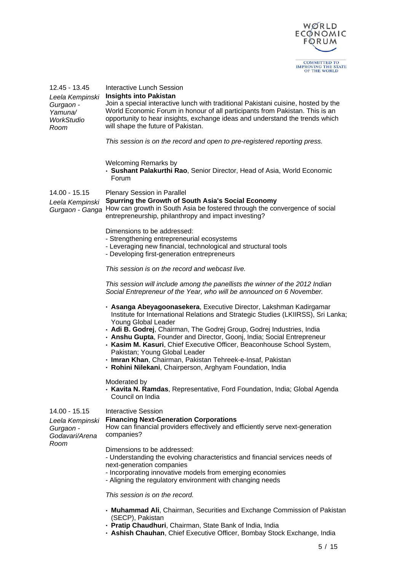

| 12.45 - 13.45<br>Leela Kempinski<br>Gurgaon -<br>Yamuna/<br><b>WorkStudio</b><br>Room | <b>Interactive Lunch Session</b><br><b>Insights into Pakistan</b><br>Join a special interactive lunch with traditional Pakistani cuisine, hosted by the<br>World Economic Forum in honour of all participants from Pakistan. This is an<br>opportunity to hear insights, exchange ideas and understand the trends which<br>will shape the future of Pakistan.<br>This session is on the record and open to pre-registered reporting press.                                                                                                                              |
|---------------------------------------------------------------------------------------|-------------------------------------------------------------------------------------------------------------------------------------------------------------------------------------------------------------------------------------------------------------------------------------------------------------------------------------------------------------------------------------------------------------------------------------------------------------------------------------------------------------------------------------------------------------------------|
|                                                                                       | <b>Welcoming Remarks by</b><br>• Sushant Palakurthi Rao, Senior Director, Head of Asia, World Economic<br>Forum                                                                                                                                                                                                                                                                                                                                                                                                                                                         |
| 14.00 - 15.15<br>Leela Kempinski<br>Gurgaon - Ganga                                   | <b>Plenary Session in Parallel</b><br>Spurring the Growth of South Asia's Social Economy<br>How can growth in South Asia be fostered through the convergence of social<br>entrepreneurship, philanthropy and impact investing?                                                                                                                                                                                                                                                                                                                                          |
|                                                                                       | Dimensions to be addressed:<br>- Strengthening entrepreneurial ecosystems<br>- Leveraging new financial, technological and structural tools<br>- Developing first-generation entrepreneurs                                                                                                                                                                                                                                                                                                                                                                              |
|                                                                                       | This session is on the record and webcast live.                                                                                                                                                                                                                                                                                                                                                                                                                                                                                                                         |
|                                                                                       | This session will include among the panellists the winner of the 2012 Indian<br>Social Entrepreneur of the Year, who will be announced on 6 November.                                                                                                                                                                                                                                                                                                                                                                                                                   |
|                                                                                       | • Asanga Abeyagoonasekera, Executive Director, Lakshman Kadirgamar<br>Institute for International Relations and Strategic Studies (LKIIRSS), Sri Lanka;<br>Young Global Leader<br>• Adi B. Godrej, Chairman, The Godrej Group, Godrej Industries, India<br>- Anshu Gupta, Founder and Director, Goonj, India; Social Entrepreneur<br>• Kasim M. Kasuri, Chief Executive Officer, Beaconhouse School System,<br>Pakistan; Young Global Leader<br>- Imran Khan, Chairman, Pakistan Tehreek-e-Insaf, Pakistan<br>. Rohini Nilekani, Chairperson, Arghyam Foundation, India |
|                                                                                       | Moderated by<br>• Kavita N. Ramdas, Representative, Ford Foundation, India; Global Agenda<br>Council on India                                                                                                                                                                                                                                                                                                                                                                                                                                                           |
| $14.00 - 15.15$<br>Leela Kempinski<br>Gurgaon -<br>Godavari/Arena                     | <b>Interactive Session</b><br><b>Financing Next-Generation Corporations</b><br>How can financial providers effectively and efficiently serve next-generation<br>companies?                                                                                                                                                                                                                                                                                                                                                                                              |
| Room                                                                                  | Dimensions to be addressed:<br>- Understanding the evolving characteristics and financial services needs of<br>next-generation companies<br>- Incorporating innovative models from emerging economies<br>- Aligning the regulatory environment with changing needs                                                                                                                                                                                                                                                                                                      |
|                                                                                       | This session is on the record.                                                                                                                                                                                                                                                                                                                                                                                                                                                                                                                                          |
|                                                                                       | . Muhammad Ali, Chairman, Securities and Exchange Commission of Pakistan<br>(SECP), Pakistan<br>- Pratip Chaudhuri, Chairman, State Bank of India, India                                                                                                                                                                                                                                                                                                                                                                                                                |

**· Ashish Chauhan**, Chief Executive Officer, Bombay Stock Exchange, India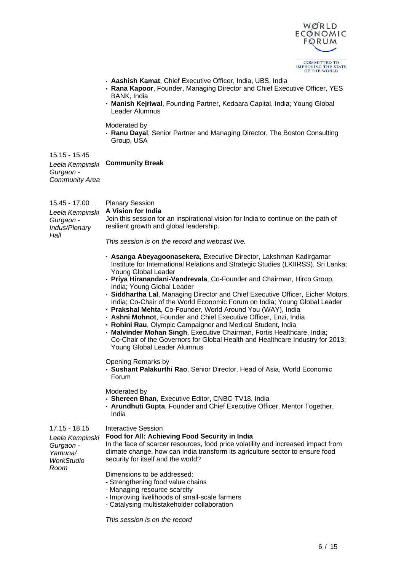

- **· Aashish Kamat**, Chief Executive Officer, India, UBS, India
- **· Rana Kapoor**, Founder, Managing Director and Chief Executive Officer, YES BANK, India
- **· Manish Kejriwal**, Founding Partner, Kedaara Capital, India; Young Global Leader Alumnus

Moderated by

**· Ranu Dayal**, Senior Partner and Managing Director, The Boston Consulting Group, USA

15.15 - 15.45 Leela Kempinski **Community Break** Gurgaon - Community Area

15.45 - 17.00 Plenary Session Leela Kempinski Gurgaon - Indus/Plenary Hall **A Vision for India** Join this session for an inspirational vision for India to continue on the path of resilient growth and global leadership.

This session is on the record and webcast live.

- **· Asanga Abeyagoonasekera**, Executive Director, Lakshman Kadirgamar Institute for International Relations and Strategic Studies (LKIIRSS), Sri Lanka; Young Global Leader
- **· Priya Hiranandani-Vandrevala**, Co-Founder and Chairman, Hirco Group, India; Young Global Leader
- **· Siddhartha Lal**, Managing Director and Chief Executive Officer, Eicher Motors, India; Co-Chair of the World Economic Forum on India; Young Global Leader
- **· Prakshal Mehta**, Co-Founder, World Around You (WAY), India
- **· Ashni Mohnot**, Founder and Chief Executive Officer, Enzi, India
- **· Rohini Rau**, Olympic Campaigner and Medical Student, India
- **· Malvinder Mohan Singh**, Executive Chairman, Fortis Healthcare, India; Co-Chair of the Governors for Global Health and Healthcare Industry for 2013; Young Global Leader Alumnus

Opening Remarks by

**· Sushant Palakurthi Rao**, Senior Director, Head of Asia, World Economic Forum

Moderated by

- **· Shereen Bhan**, Executive Editor, CNBC-TV18, India
- **· Arundhuti Gupta**, Founder and Chief Executive Officer, Mentor Together, India

#### 17.15 - 18.15 Interactive Session

Gurgaon - Yamuna/ **WorkStudio** Room

#### Leela Kempinski **Food for All: Achieving Food Security in India**

In the face of scarcer resources, food price volatility and increased impact from climate change, how can India transform its agriculture sector to ensure food security for itself and the world?

Dimensions to be addressed:

- Strengthening food value chains
- Managing resource scarcity
- Improving livelihoods of small-scale farmers
- Catalysing multistakeholder collaboration

This session is on the record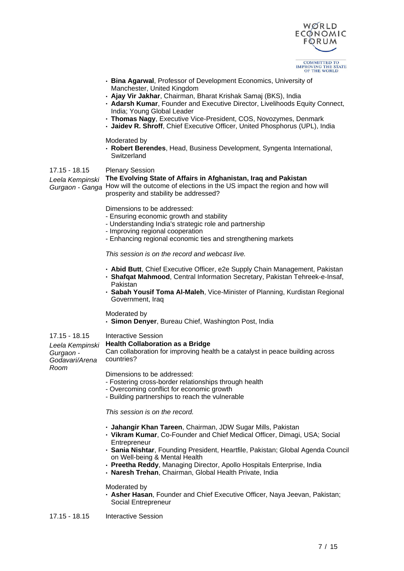

- **· Bina Agarwal**, Professor of Development Economics, University of Manchester, United Kingdom
- **· Ajay Vir Jakhar**, Chairman, Bharat Krishak Samaj (BKS), India
- **· Adarsh Kumar**, Founder and Executive Director, Livelihoods Equity Connect, India; Young Global Leader
- **· Thomas Nagy**, Executive Vice-President, COS, Novozymes, Denmark
- **· Jaidev R. Shroff**, Chief Executive Officer, United Phosphorus (UPL), India

Moderated by

**· Robert Berendes**, Head, Business Development, Syngenta International, **Switzerland** 

#### 17.15 - 18.15 Plenary Session

#### Leela Kempinski **The Evolving State of Affairs in Afghanistan, Iraq and Pakistan**

Gurgaon - Ganga How will the outcome of elections in the US impact the region and how will prosperity and stability be addressed?

Dimensions to be addressed:

- Ensuring economic growth and stability
- Understanding India's strategic role and partnership
- Improving regional cooperation
- Enhancing regional economic ties and strengthening markets

This session is on the record and webcast live.

- **· Abid Butt**, Chief Executive Officer, e2e Supply Chain Management, Pakistan
- **· Shafqat Mahmood**, Central Information Secretary, Pakistan Tehreek-e-Insaf, Pakistan
- **· Sabah Yousif Toma Al-Maleh**, Vice-Minister of Planning, Kurdistan Regional Government, Iraq

#### Moderated by

**· Simon Denyer**, Bureau Chief, Washington Post, India

#### 17.15 - 18.15 Interactive Session

Gurgaon -

Room

#### Leela Kempinski **Health Collaboration as a Bridge**

Godavari/Arena Can collaboration for improving health be a catalyst in peace building across countries?

Dimensions to be addressed:

- Fostering cross-border relationships through health
- Overcoming conflict for economic growth
- Building partnerships to reach the vulnerable

This session is on the record.

- **· Jahangir Khan Tareen**, Chairman, JDW Sugar Mills, Pakistan
- **· Vikram Kumar**, Co-Founder and Chief Medical Officer, Dimagi, USA; Social **Entrepreneur**
- **· Sania Nishtar**, Founding President, Heartfile, Pakistan; Global Agenda Council on Well-being & Mental Health
- **· Preetha Reddy**, Managing Director, Apollo Hospitals Enterprise, India
- **· Naresh Trehan**, Chairman, Global Health Private, India

#### Moderated by

**· Asher Hasan**, Founder and Chief Executive Officer, Naya Jeevan, Pakistan; Social Entrepreneur

17.15 - 18.15 Interactive Session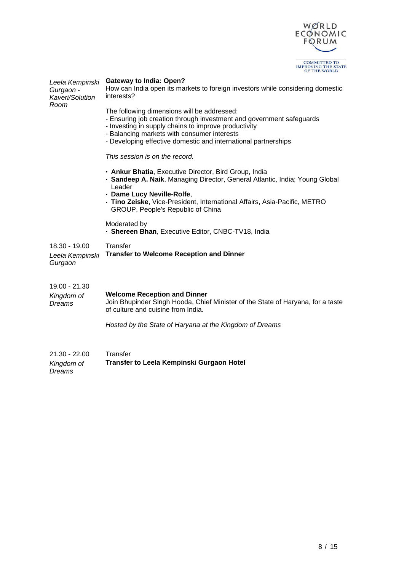

| Leela Kempinski<br>Gurgaon -<br>Kaveri/Solution<br>Room | <b>Gateway to India: Open?</b><br>How can India open its markets to foreign investors while considering domestic<br>interests?                                                                                                                                                               |
|---------------------------------------------------------|----------------------------------------------------------------------------------------------------------------------------------------------------------------------------------------------------------------------------------------------------------------------------------------------|
|                                                         | The following dimensions will be addressed:<br>- Ensuring job creation through investment and government safeguards<br>- Investing in supply chains to improve productivity<br>- Balancing markets with consumer interests<br>- Developing effective domestic and international partnerships |
|                                                         | This session is on the record.                                                                                                                                                                                                                                                               |
|                                                         | • Ankur Bhatia, Executive Director, Bird Group, India<br>- Sandeep A. Naik, Managing Director, General Atlantic, India; Young Global<br>Leader<br>- Dame Lucy Neville-Rolfe,<br>- Tino Zeiske, Vice-President, International Affairs, Asia-Pacific, METRO                                    |
|                                                         | GROUP, People's Republic of China                                                                                                                                                                                                                                                            |
|                                                         | Moderated by<br>- Shereen Bhan, Executive Editor, CNBC-TV18, India                                                                                                                                                                                                                           |
| 18.30 - 19.00<br>Leela Kempinski<br>Gurgaon             | Transfer<br><b>Transfer to Welcome Reception and Dinner</b>                                                                                                                                                                                                                                  |
| 19.00 - 21.30                                           |                                                                                                                                                                                                                                                                                              |
| Kingdom of<br>Dreams                                    | <b>Welcome Reception and Dinner</b><br>Join Bhupinder Singh Hooda, Chief Minister of the State of Haryana, for a taste<br>of culture and cuisine from India.                                                                                                                                 |
|                                                         | Hosted by the State of Haryana at the Kingdom of Dreams                                                                                                                                                                                                                                      |
|                                                         |                                                                                                                                                                                                                                                                                              |
| $21.30 - 22.00$<br>Kingdom of<br>Dreams                 | Transfer<br>Transfer to Leela Kempinski Gurgaon Hotel                                                                                                                                                                                                                                        |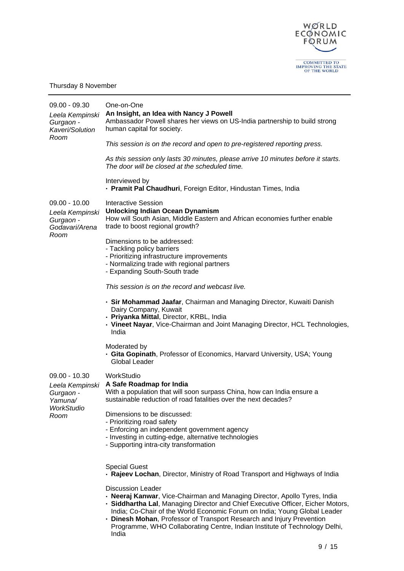

## Thursday 8 November

| $09.00 - 09.30$<br>Leela Kempinski<br>Gurgaon -<br>Kaveri/Solution | One-on-One<br>An Insight, an Idea with Nancy J Powell<br>Ambassador Powell shares her views on US-India partnership to build strong<br>human capital for society.                                                                                                                                                                              |
|--------------------------------------------------------------------|------------------------------------------------------------------------------------------------------------------------------------------------------------------------------------------------------------------------------------------------------------------------------------------------------------------------------------------------|
| Room                                                               | This session is on the record and open to pre-registered reporting press.                                                                                                                                                                                                                                                                      |
|                                                                    | As this session only lasts 30 minutes, please arrive 10 minutes before it starts.<br>The door will be closed at the scheduled time.                                                                                                                                                                                                            |
|                                                                    | Interviewed by<br>- Pramit Pal Chaudhuri, Foreign Editor, Hindustan Times, India                                                                                                                                                                                                                                                               |
| $09.00 - 10.00$<br>Leela Kempinski<br>Gurgaon -<br>Godavari/Arena  | <b>Interactive Session</b><br><b>Unlocking Indian Ocean Dynamism</b><br>How will South Asian, Middle Eastern and African economies further enable<br>trade to boost regional growth?                                                                                                                                                           |
| Room                                                               | Dimensions to be addressed:<br>- Tackling policy barriers<br>- Prioritizing infrastructure improvements<br>- Normalizing trade with regional partners<br>- Expanding South-South trade                                                                                                                                                         |
|                                                                    | This session is on the record and webcast live.                                                                                                                                                                                                                                                                                                |
|                                                                    | • Sir Mohammad Jaafar, Chairman and Managing Director, Kuwaiti Danish<br>Dairy Company, Kuwait<br>- Priyanka Mittal, Director, KRBL, India<br>- Vineet Nayar, Vice-Chairman and Joint Managing Director, HCL Technologies,<br>India                                                                                                            |
|                                                                    | Moderated by<br>• Gita Gopinath, Professor of Economics, Harvard University, USA; Young<br>Global Leader                                                                                                                                                                                                                                       |
| $09.00 - 10.30$<br>Leela Kempinski<br>Gurgaon -<br>Yamuna/         | WorkStudio<br>A Safe Roadmap for India<br>With a population that will soon surpass China, how can India ensure a<br>sustainable reduction of road fatalities over the next decades?                                                                                                                                                            |
| WorkStudio<br>Room                                                 | Dimensions to be discussed:<br>- Prioritizing road safety<br>- Enforcing an independent government agency<br>- Investing in cutting-edge, alternative technologies<br>- Supporting intra-city transformation                                                                                                                                   |
|                                                                    | <b>Special Guest</b><br>. Rajeev Lochan, Director, Ministry of Road Transport and Highways of India                                                                                                                                                                                                                                            |
|                                                                    | <b>Discussion Leader</b><br>• Neeraj Kanwar, Vice-Chairman and Managing Director, Apollo Tyres, India<br>- Siddhartha Lal, Managing Director and Chief Executive Officer, Eicher Motors,<br>India; Co-Chair of the World Economic Forum on India; Young Global Leader<br>. Dinesh Mohan, Professor of Transport Research and Injury Prevention |

Programme, WHO Collaborating Centre, Indian Institute of Technology Delhi, India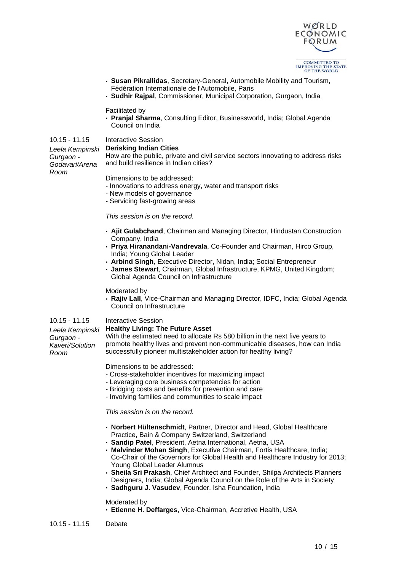

- **· Susan Pikrallidas**, Secretary-General, Automobile Mobility and Tourism, Fédération Internationale de l'Automobile, Paris
- **· Sudhir Rajpal**, Commissioner, Municipal Corporation, Gurgaon, India

#### Facilitated by

**· Pranjal Sharma**, Consulting Editor, Businessworld, India; Global Agenda Council on India

## 10.15 - 11.15 Interactive Session

#### **Derisking Indian Cities**

Leela Kempinski Gurgaon - Godavari/Arena Room

How are the public, private and civil service sectors innovating to address risks and build resilience in Indian cities?

Dimensions to be addressed:

- Innovations to address energy, water and transport risks
- New models of governance
- Servicing fast-growing areas

#### This session is on the record.

- **· Ajit Gulabchand**, Chairman and Managing Director, Hindustan Construction Company, India
- **· Priya Hiranandani-Vandrevala**, Co-Founder and Chairman, Hirco Group, India; Young Global Leader
- **· Arbind Singh**, Executive Director, Nidan, India; Social Entrepreneur
- **· James Stewart**, Chairman, Global Infrastructure, KPMG, United Kingdom; Global Agenda Council on Infrastructure

#### Moderated by

**· Rajiv Lall**, Vice-Chairman and Managing Director, IDFC, India; Global Agenda Council on Infrastructure

## 10.15 - 11.15 Interactive Session

Gurgaon - Kaveri/Solution

Room

#### Leela Kempinski **Healthy Living: The Future Asset**

With the estimated need to allocate Rs 580 billion in the next five years to promote healthy lives and prevent non-communicable diseases, how can India successfully pioneer multistakeholder action for healthy living?

Dimensions to be addressed:

- Cross-stakeholder incentives for maximizing impact
- Leveraging core business competencies for action
- Bridging costs and benefits for prevention and care
- Involving families and communities to scale impact

#### This session is on the record.

- **· Norbert Hültenschmidt**, Partner, Director and Head, Global Healthcare Practice, Bain & Company Switzerland, Switzerland
- **· Sandip Patel**, President, Aetna International, Aetna, USA
- **· Malvinder Mohan Singh**, Executive Chairman, Fortis Healthcare, India; Co-Chair of the Governors for Global Health and Healthcare Industry for 2013; Young Global Leader Alumnus
- **· Sheila Sri Prakash**, Chief Architect and Founder, Shilpa Architects Planners Designers, India; Global Agenda Council on the Role of the Arts in Society
- **· Sadhguru J. Vasudev**, Founder, Isha Foundation, India

## Moderated by

**· Etienne H. Deffarges**, Vice-Chairman, Accretive Health, USA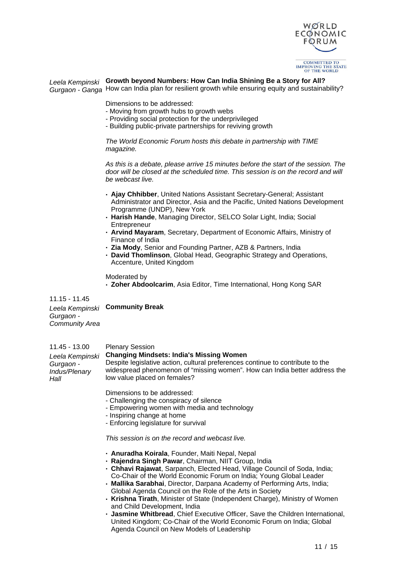

## Leela Kempinski **Growth beyond Numbers: How Can India Shining Be a Story for All?**

Gurgaon - Ganga How can India plan for resilient growth while ensuring equity and sustainability?

Dimensions to be addressed:

- Moving from growth hubs to growth webs
- Providing social protection for the underprivileged
- Building public-private partnerships for reviving growth

The World Economic Forum hosts this debate in partnership with TIME magazine.

As this is a debate, please arrive 15 minutes before the start of the session. The door will be closed at the scheduled time. This session is on the record and will be webcast live.

- **· Ajay Chhibber**, United Nations Assistant Secretary-General; Assistant Administrator and Director, Asia and the Pacific, United Nations Development Programme (UNDP), New York
- **· Harish Hande**, Managing Director, SELCO Solar Light, India; Social **Entrepreneur**
- **· Arvind Mayaram**, Secretary, Department of Economic Affairs, Ministry of Finance of India
- **· Zia Mody**, Senior and Founding Partner, AZB & Partners, India
- **· David Thomlinson**, Global Head, Geographic Strategy and Operations, Accenture, United Kingdom

Moderated by

**· Zoher Abdoolcarim**, Asia Editor, Time International, Hong Kong SAR

11.15 - 11.45 Leela Kempinski **Community Break** Gurgaon - Community Area

11.45 - 13.00 Plenary Session Leela Kempinski Gurgaon - Indus/Plenary **Hall Changing Mindsets: India's Missing Women** Despite legislative action, cultural preferences continue to contribute to the widespread phenomenon of "missing women". How can India better address the low value placed on females?

Dimensions to be addressed:

- Challenging the conspiracy of silence
- Empowering women with media and technology
- Inspiring change at home
- Enforcing legislature for survival

This session is on the record and webcast live.

- **· Anuradha Koirala**, Founder, Maiti Nepal, Nepal
- **· Rajendra Singh Pawar**, Chairman, NIIT Group, India
- **· Chhavi Rajawat**, Sarpanch, Elected Head, Village Council of Soda, India; Co-Chair of the World Economic Forum on India; Young Global Leader
- **· Mallika Sarabhai**, Director, Darpana Academy of Performing Arts, India; Global Agenda Council on the Role of the Arts in Society
- **· Krishna Tirath**, Minister of State (Independent Charge), Ministry of Women and Child Development, India
- **· Jasmine Whitbread**, Chief Executive Officer, Save the Children International, United Kingdom; Co-Chair of the World Economic Forum on India; Global Agenda Council on New Models of Leadership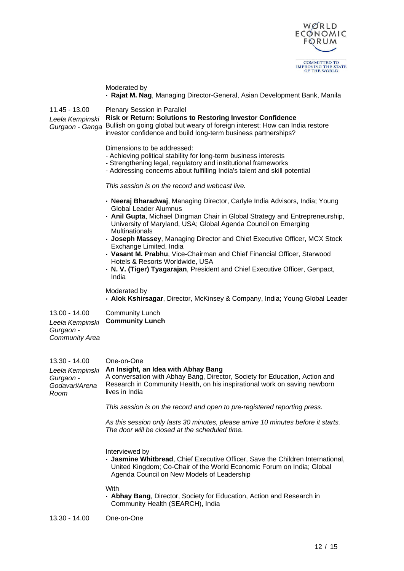

|                                                                         | Moderated by<br>- Rajat M. Nag, Managing Director-General, Asian Development Bank, Manila                                                                                                                                                                                                                                                                                                                                                                                                                                                                                                     |
|-------------------------------------------------------------------------|-----------------------------------------------------------------------------------------------------------------------------------------------------------------------------------------------------------------------------------------------------------------------------------------------------------------------------------------------------------------------------------------------------------------------------------------------------------------------------------------------------------------------------------------------------------------------------------------------|
| 11.45 - 13.00<br>Leela Kempinski<br>Gurgaon - Ganga                     | <b>Plenary Session in Parallel</b><br><b>Risk or Return: Solutions to Restoring Investor Confidence</b><br>Bullish on going global but weary of foreign interest: How can India restore<br>investor confidence and build long-term business partnerships?                                                                                                                                                                                                                                                                                                                                     |
|                                                                         | Dimensions to be addressed:<br>- Achieving political stability for long-term business interests<br>- Strengthening legal, regulatory and institutional frameworks<br>- Addressing concerns about fulfilling India's talent and skill potential                                                                                                                                                                                                                                                                                                                                                |
|                                                                         | This session is on the record and webcast live.                                                                                                                                                                                                                                                                                                                                                                                                                                                                                                                                               |
|                                                                         | • Neeraj Bharadwaj, Managing Director, Carlyle India Advisors, India; Young<br><b>Global Leader Alumnus</b><br>- Anil Gupta, Michael Dingman Chair in Global Strategy and Entrepreneurship,<br>University of Maryland, USA; Global Agenda Council on Emerging<br>Multinationals<br>- Joseph Massey, Managing Director and Chief Executive Officer, MCX Stock<br>Exchange Limited, India<br>- Vasant M. Prabhu, Vice-Chairman and Chief Financial Officer, Starwood<br>Hotels & Resorts Worldwide, USA<br>. N. V. (Tiger) Tyagarajan, President and Chief Executive Officer, Genpact,<br>India |
|                                                                         | Moderated by<br>• Alok Kshirsagar, Director, McKinsey & Company, India; Young Global Leader                                                                                                                                                                                                                                                                                                                                                                                                                                                                                                   |
| 13.00 - 14.00<br>Leela Kempinski<br>Gurgaon -<br><b>Community Area</b>  | <b>Community Lunch</b><br><b>Community Lunch</b>                                                                                                                                                                                                                                                                                                                                                                                                                                                                                                                                              |
| 13.30 - 14.00<br>Leela Kempinski<br>Gurgaon -<br>Godavari/Arena<br>Room | One-on-One<br>An Insight, an Idea with Abhay Bang<br>A conversation with Abhay Bang, Director, Society for Education, Action and<br>Research in Community Health, on his inspirational work on saving newborn<br>lives in India                                                                                                                                                                                                                                                                                                                                                               |
|                                                                         | This session is on the record and open to pre-registered reporting press.                                                                                                                                                                                                                                                                                                                                                                                                                                                                                                                     |
|                                                                         | As this session only lasts 30 minutes, please arrive 10 minutes before it starts.<br>The door will be closed at the scheduled time.                                                                                                                                                                                                                                                                                                                                                                                                                                                           |
|                                                                         | Interviewed by<br>- Jasmine Whitbread, Chief Executive Officer, Save the Children International,<br>United Kingdom; Co-Chair of the World Economic Forum on India; Global<br>Agenda Council on New Models of Leadership                                                                                                                                                                                                                                                                                                                                                                       |
|                                                                         | With<br>- Abhay Bang, Director, Society for Education, Action and Research in<br>Community Health (SEARCH), India                                                                                                                                                                                                                                                                                                                                                                                                                                                                             |
| 13.30 - 14.00                                                           | One-on-One                                                                                                                                                                                                                                                                                                                                                                                                                                                                                                                                                                                    |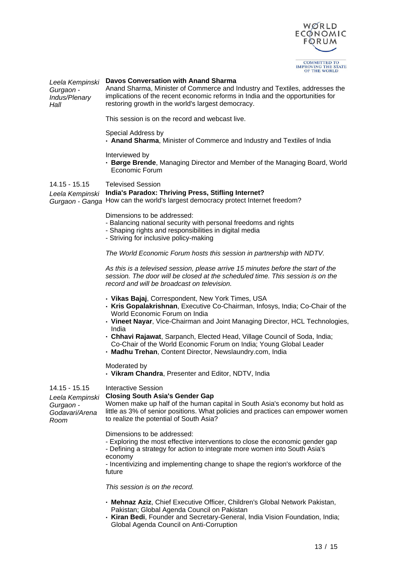

#### Leela Kempinski **Davos Conversation with Anand Sharma**

Gurgaon - Indus/Plenary **Hall** 

Anand Sharma, Minister of Commerce and Industry and Textiles, addresses the implications of the recent economic reforms in India and the opportunities for restoring growth in the world's largest democracy.

This session is on the record and webcast live.

#### Special Address by

**· Anand Sharma**, Minister of Commerce and Industry and Textiles of India

## Interviewed by

**· Børge Brende**, Managing Director and Member of the Managing Board, World Economic Forum

## 14.15 - 15.15 Televised Session

Leela Kempinski **India's Paradox: Thriving Press, Stifling Internet?** Gurgaon - Ganga How can the world's largest democracy protect Internet freedom?

Dimensions to be addressed:

- Balancing national security with personal freedoms and rights
- Shaping rights and responsibilities in digital media
- Striving for inclusive policy-making

The World Economic Forum hosts this session in partnership with NDTV.

As this is a televised session, please arrive 15 minutes before the start of the session. The door will be closed at the scheduled time. This session is on the record and will be broadcast on television.

- **· Vikas Bajaj**, Correspondent, New York Times, USA
- **· Kris Gopalakrishnan**, Executive Co-Chairman, Infosys, India; Co-Chair of the World Economic Forum on India
- **· Vineet Nayar**, Vice-Chairman and Joint Managing Director, HCL Technologies, India
- **· Chhavi Rajawat**, Sarpanch, Elected Head, Village Council of Soda, India;
- Co-Chair of the World Economic Forum on India; Young Global Leader
- **· Madhu Trehan**, Content Director, Newslaundry.com, India

Moderated by

**· Vikram Chandra**, Presenter and Editor, NDTV, India

#### 14.15 - 15.15 Interactive Session

Gurgaon -

Room

#### Leela Kempinski **Closing South Asia's Gender Gap**

Godavari/Arena Women make up half of the human capital in South Asia's economy but hold as little as 3% of senior positions. What policies and practices can empower women to realize the potential of South Asia?

Dimensions to be addressed:

- Exploring the most effective interventions to close the economic gender gap

- Defining a strategy for action to integrate more women into South Asia's economy

- Incentivizing and implementing change to shape the region's workforce of the future

This session is on the record.

- **· Mehnaz Aziz**, Chief Executive Officer, Children's Global Network Pakistan, Pakistan; Global Agenda Council on Pakistan
- **· Kiran Bedi**, Founder and Secretary-General, India Vision Foundation, India; Global Agenda Council on Anti-Corruption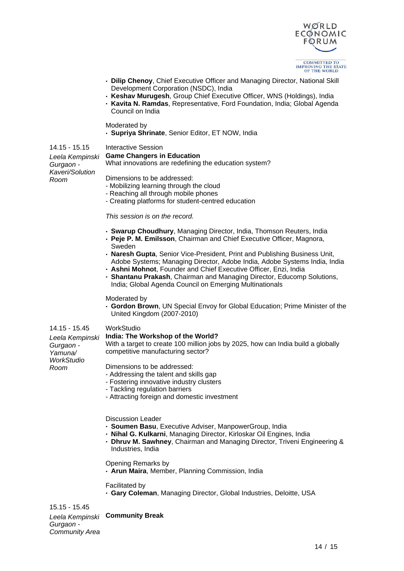

- **· Dilip Chenoy**, Chief Executive Officer and Managing Director, National Skill Development Corporation (NSDC), India
- **· Keshav Murugesh**, Group Chief Executive Officer, WNS (Holdings), India
- **· Kavita N. Ramdas**, Representative, Ford Foundation, India; Global Agenda Council on India

Moderated by

**· Supriya Shrinate**, Senior Editor, ET NOW, India

14.15 - 15.15 Interactive Session

#### **Game Changers in Education**

What innovations are redefining the education system?

Leela Kempinski Gurgaon - Kaveri/Solution Room

Dimensions to be addressed:

- Mobilizing learning through the cloud
- Reaching all through mobile phones
- Creating platforms for student-centred education

This session is on the record.

- **· Swarup Choudhury**, Managing Director, India, Thomson Reuters, India
- **· Peje P. M. Emilsson**, Chairman and Chief Executive Officer, Magnora, Sweden
- **· Naresh Gupta**, Senior Vice-President, Print and Publishing Business Unit, Adobe Systems; Managing Director, Adobe India, Adobe Systems India, India
- **· Ashni Mohnot**, Founder and Chief Executive Officer, Enzi, India
- **· Shantanu Prakash**, Chairman and Managing Director, Educomp Solutions, India; Global Agenda Council on Emerging Multinationals

Moderated by

**· Gordon Brown**, UN Special Envoy for Global Education; Prime Minister of the United Kingdom (2007-2010)

#### 14.15 - 15.45 WorkStudio

#### Leela Kempinski **India: The Workshop of the World?**

With a target to create 100 million jobs by 2025, how can India build a globally competitive manufacturing sector?

Gurgaon - Yamuna/ **WorkStudio** Room

Dimensions to be addressed:

- Addressing the talent and skills gap
- Fostering innovative industry clusters
- Tackling regulation barriers
- Attracting foreign and domestic investment

Discussion Leader

- **· Soumen Basu**, Executive Adviser, ManpowerGroup, India
- **· Nihal G. Kulkarni**, Managing Director, Kirloskar Oil Engines, India
- **· Dhruv M. Sawhney**, Chairman and Managing Director, Triveni Engineering & Industries, India

Opening Remarks by

**· Arun Maira**, Member, Planning Commission, India

Facilitated by

**· Gary Coleman**, Managing Director, Global Industries, Deloitte, USA

15.15 - 15.45 Leela Kempinski **Community Break**

Gurgaon - Community Area